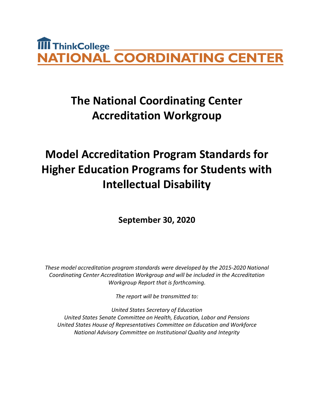# **TIII** ThinkCollege **NATIONAL COORDINATING CENTER**

# **The National Coordinating Center Accreditation Workgroup**

# **Model Accreditation Program Standards for Higher Education Programs for Students with Intellectual Disability**

**September 30, 2020**

*These model accreditation program standards were developed by the 2015-2020 National Coordinating Center Accreditation Workgroup and will be included in the Accreditation Workgroup Report that is forthcoming.*

*The report will be transmitted to:*

*United States Secretary of Education United States Senate Committee on Health, Education, Labor and Pensions United States House of Representatives Committee on Education and Workforce National Advisory Committee on Institutional Quality and Integrity*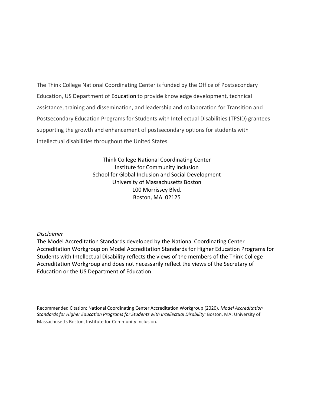The Think College National Coordinating Center is funded by the Office of Postsecondary Education, US Department of Education to provide knowledge development, technical assistance, training and dissemination, and leadership and collaboration for Transition and Postsecondary Education Programs for Students with Intellectual Disabilities (TPSID) grantees supporting the growth and enhancement of postsecondary options for students with intellectual disabilities throughout the United States.

> Think College National Coordinating Center Institute for Community Inclusion School for Global Inclusion and Social Development University of Massachusetts Boston 100 Morrissey Blvd. Boston, MA 02125

### *Disclaimer*

The Model Accreditation Standards developed by the National Coordinating Center Accreditation Workgroup on Model Accreditation Standards for Higher Education Programs for Students with Intellectual Disability reflects the views of the members of the Think College Accreditation Workgroup and does not necessarily reflect the views of the Secretary of Education or the US Department of Education.

Recommended Citation: National Coordinating Center Accreditation Workgroup (2020). *Model Accreditation Standards for Higher Education Programs for Students with Intellectual Disability:* Boston, MA: University of Massachusetts Boston, Institute for Community Inclusion.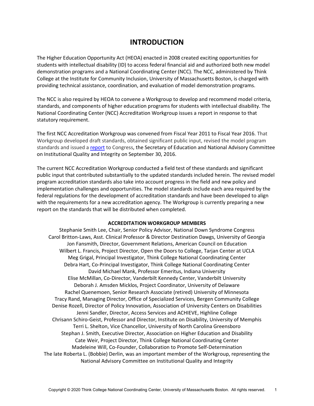# **INTRODUCTION**

The Higher Education Opportunity Act (HEOA) enacted in 2008 created exciting opportunities for students with intellectual disability (ID) to access federal financial aid and authorized both new model demonstration programs and a National Coordinating Center (NCC). The NCC, administered by Think College at the Institute for Community Inclusion, University of Massachusetts Boston, is charged with providing technical assistance, coordination, and evaluation of model demonstration programs.

The NCC is also required by HEOA to convene a Workgroup to develop and recommend model criteria, standards, and components of higher education programs for students with intellectual disability. The National Coordinating Center (NCC) Accreditation Workgroup issues a report in response to that statutory requirement.

The first NCC Accreditation Workgroup was convened from Fiscal Year 2011 to Fiscal Year 2016. That Workgroup developed draft standards, obtained significant public input, revised the model program standards and issued a [report](https://thinkcollege.net/think-college-news/accreditation-standards-report-to-congress) to Congress, the Secretary of Education and National Advisory Committee on Institutional Quality and Integrity on September 30, 2016.

The current NCC Accreditation Workgroup conducted a field test of these standards and significant public input that contributed substantially to the updated standards included herein. The revised model program accreditation standards also take into account progress in the field and new policy and implementation challenges and opportunities. The model standards include each area required by the federal regulations for the development of accreditation standards and have been developed to align with the requirements for a new accreditation agency. The Workgroup is currently preparing a new report on the standards that will be distributed when completed.

#### **ACCREDITATION WORKGROUP MEMBERS**

Stephanie Smith Lee, Chair, Senior Policy Advisor, National Down Syndrome Congress Carol Britton-Laws, Asst. Clinical Professor & Director Destination Dawgs, University of Georgia Jon Fansmith, Director, Government Relations, American Council on Education Wilbert L. Francis, Project Director, Open the Doors to College, Tarjan Center at UCLA Meg Grigal, Principal Investigator, Think College National Coordinating Center Debra Hart, Co-Principal Investigator, Think College National Coordinating Center David Michael Mank, Professor Emeritus, Indiana University Elise McMillan, Co-Director, Vanderbilt Kennedy Center, Vanderbilt University Deborah J. Amsden Micklos, Project Coordinator, University of Delaware Rachel Quenemoen, Senior Research Associate (retired) University of Minnesota Tracy Rand, Managing Director, Office of Specialized Services, Bergen Community College Denise Rozell, Director of Policy Innovation, Association of University Centers on Disabilities Jenni Sandler, Director, Access Services and ACHIEVE, Highline College Chrisann Schiro-Geist, Professor and Director, Institute on Disability, University of Memphis Terri L. Shelton, Vice Chancellor, University of North Carolina Greensboro Stephan J. Smith, Executive Director, Association on Higher Education and Disability Cate Weir, Project Director, Think College National Coordinating Center Madeleine Will, Co-Founder, Collaboration to Promote Self-Determination The late Roberta L. (Bobbie) Derlin, was an important member of the Workgroup, representing the National Advisory Committee on Institutional Quality and Integrity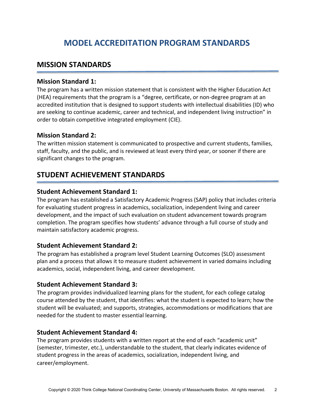# **MODEL ACCREDITATION PROGRAM STANDARDS**

# **MISSION STANDARDS**

### **Mission Standard 1:**

The program has a written mission statement that is consistent with the Higher Education Act (HEA) requirements that the program is a "degree, certificate, or non-degree program at an accredited institution that is designed to support students with intellectual disabilities (ID) who are seeking to continue academic, career and technical, and independent living instruction" in order to obtain competitive integrated employment (CIE).

### **Mission Standard 2:**

The written mission statement is communicated to prospective and current students, families, staff, faculty, and the public, and is reviewed at least every third year, or sooner if there are significant changes to the program.

# **STUDENT ACHIEVEMENT STANDARDS**

### **Student Achievement Standard 1:**

The program has established a Satisfactory Academic Progress (SAP) policy that includes criteria for evaluating student progress in academics, socialization, independent living and career development, and the impact of such evaluation on student advancement towards program completion. The program specifies how students' advance through a full course of study and maintain satisfactory academic progress.

### **Student Achievement Standard 2:**

The program has established a program level Student Learning Outcomes (SLO) assessment plan and a process that allows it to measure student achievement in varied domains including academics, social, independent living, and career development.

### **Student Achievement Standard 3:**

The program provides individualized learning plans for the student, for each college catalog course attended by the student, that identifies: what the student is expected to learn; how the student will be evaluated; and supports, strategies, accommodations or modifications that are needed for the student to master essential learning.

### **Student Achievement Standard 4:**

The program provides students with a written report at the end of each "academic unit" (semester, trimester, etc.), understandable to the student, that clearly indicates evidence of student progress in the areas of academics, socialization, independent living, and career/employment.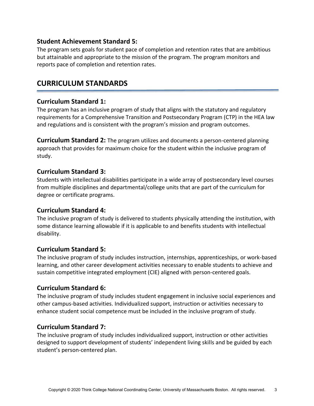# **Student Achievement Standard 5:**

The program sets goals for student pace of completion and retention rates that are ambitious but attainable and appropriate to the mission of the program. The program monitors and reports pace of completion and retention rates.

# **CURRICULUM STANDARDS**

# **Curriculum Standard 1:**

The program has an inclusive program of study that aligns with the statutory and regulatory requirements for a Comprehensive Transition and Postsecondary Program (CTP) in the HEA law and regulations and is consistent with the program's mission and program outcomes.

**Curriculum Standard 2:** The program utilizes and documents a person-centered planning approach that provides for maximum choice for the student within the inclusive program of study.

# **Curriculum Standard 3:**

Students with intellectual disabilities participate in a wide array of postsecondary level courses from multiple disciplines and departmental/college units that are part of the curriculum for degree or certificate programs.

# **Curriculum Standard 4:**

The inclusive program of study is delivered to students physically attending the institution, with some distance learning allowable if it is applicable to and benefits students with intellectual disability.

# **Curriculum Standard 5:**

The inclusive program of study includes instruction, internships, apprenticeships, or work-based learning, and other career development activities necessary to enable students to achieve and sustain competitive integrated employment (CIE) aligned with person-centered goals.

# **Curriculum Standard 6:**

The inclusive program of study includes student engagement in inclusive social experiences and other campus-based activities. Individualized support, instruction or activities necessary to enhance student social competence must be included in the inclusive program of study.

# **Curriculum Standard 7:**

The inclusive program of study includes individualized support, instruction or other activities designed to support development of students' independent living skills and be guided by each student's person-centered plan.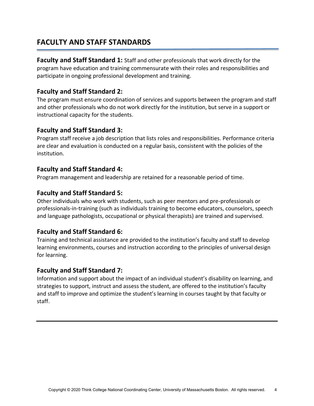# **FACULTY AND STAFF STANDARDS**

**Faculty and Staff Standard 1:** Staff and other professionals that work directly for the program have education and training commensurate with their roles and responsibilities and participate in ongoing professional development and training.

# **Faculty and Staff Standard 2:**

The program must ensure coordination of services and supports between the program and staff and other professionals who do not work directly for the institution, but serve in a support or instructional capacity for the students.

### **Faculty and Staff Standard 3:**

Program staff receive a job description that lists roles and responsibilities. Performance criteria are clear and evaluation is conducted on a regular basis, consistent with the policies of the institution.

### **Faculty and Staff Standard 4:**

Program management and leadership are retained for a reasonable period of time.

### **Faculty and Staff Standard 5:**

Other individuals who work with students, such as peer mentors and pre-professionals or professionals-in-training (such as individuals training to become educators, counselors, speech and language pathologists, occupational or physical therapists) are trained and supervised.

# **Faculty and Staff Standard 6:**

Training and technical assistance are provided to the institution's faculty and staff to develop learning environments, courses and instruction according to the principles of universal design for learning.

### **Faculty and Staff Standard 7:**

Information and support about the impact of an individual student's disability on learning, and strategies to support, instruct and assess the student, are offered to the institution's faculty and staff to improve and optimize the student's learning in courses taught by that faculty or staff.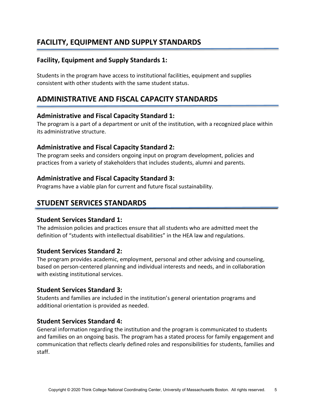# **FACILITY, EQUIPMENT AND SUPPLY STANDARDS**

# **Facility, Equipment and Supply Standards 1:**

Students in the program have access to institutional facilities, equipment and supplies consistent with other students with the same student status.

# **ADMINISTRATIVE AND FISCAL CAPACITY STANDARDS**

### **Administrative and Fiscal Capacity Standard 1:**

The program is a part of a department or unit of the institution, with a recognized place within its administrative structure.

### **Administrative and Fiscal Capacity Standard 2:**

The program seeks and considers ongoing input on program development, policies and practices from a variety of stakeholders that includes students, alumni and parents.

### **Administrative and Fiscal Capacity Standard 3:**

Programs have a viable plan for current and future fiscal sustainability.

# **STUDENT SERVICES STANDARDS**

### **Student Services Standard 1:**

The admission policies and practices ensure that all students who are admitted meet the definition of "students with intellectual disabilities" in the HEA law and regulations.

### **Student Services Standard 2:**

The program provides academic, employment, personal and other advising and counseling, based on person-centered planning and individual interests and needs, and in collaboration with existing institutional services.

### **Student Services Standard 3:**

Students and families are included in the institution's general orientation programs and additional orientation is provided as needed.

### **Student Services Standard 4:**

General information regarding the institution and the program is communicated to students and families on an ongoing basis. The program has a stated process for family engagement and communication that reflects clearly defined roles and responsibilities for students, families and staff.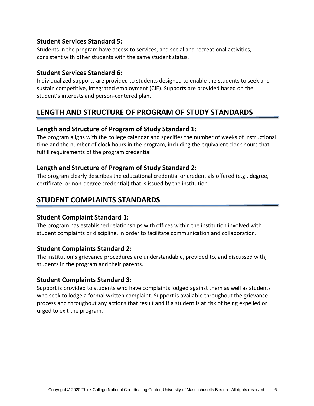# **Student Services Standard 5:**

Students in the program have access to services, and social and recreational activities, consistent with other students with the same student status.

# **Student Services Standard 6:**

Individualized supports are provided to students designed to enable the students to seek and sustain competitive, integrated employment (CIE). Supports are provided based on the student's interests and person-centered plan.

# **LENGTH AND STRUCTURE OF PROGRAM OF STUDY STANDARDS**

# **Length and Structure of Program of Study Standard 1:**

The program aligns with the college calendar and specifies the number of weeks of instructional time and the number of clock hours in the program, including the equivalent clock hours that fulfill requirements of the program credential

# **Length and Structure of Program of Study Standard 2:**

The program clearly describes the educational credential or credentials offered (e.g., degree, certificate, or non-degree credential) that is issued by the institution.

# **STUDENT COMPLAINTS STANDARDS**

# **Student Complaint Standard 1:**

The program has established relationships with offices within the institution involved with student complaints or discipline, in order to facilitate communication and collaboration.

# **Student Complaints Standard 2:**

The institution's grievance procedures are understandable, provided to, and discussed with, students in the program and their parents.

# **Student Complaints Standard 3:**

Support is provided to students who have complaints lodged against them as well as students who seek to lodge a formal written complaint. Support is available throughout the grievance process and throughout any actions that result and if a student is at risk of being expelled or urged to exit the program.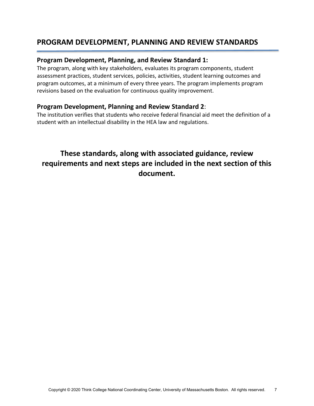# **PROGRAM DEVELOPMENT, PLANNING AND REVIEW STANDARDS**

### **Program Development, Planning, and Review Standard 1:**

The program, along with key stakeholders, evaluates its program components, student assessment practices, student services, policies, activities, student learning outcomes and program outcomes, at a minimum of every three years. The program implements program revisions based on the evaluation for continuous quality improvement.

### **Program Development, Planning and Review Standard 2**:

The institution verifies that students who receive federal financial aid meet the definition of a student with an intellectual disability in the HEA law and regulations.

# **These standards, along with associated guidance, review requirements and next steps are included in the next section of this document.**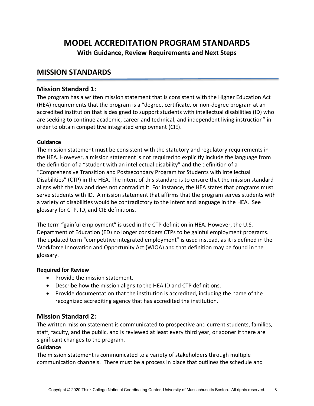# **MODEL ACCREDITATION PROGRAM STANDARDS**

**With Guidance, Review Requirements and Next Steps**

# **MISSION STANDARDS**

### **Mission Standard 1:**

The program has a written mission statement that is consistent with the Higher Education Act (HEA) requirements that the program is a "degree, certificate, or non-degree program at an accredited institution that is designed to support students with intellectual disabilities (ID) who are seeking to continue academic, career and technical, and independent living instruction" in order to obtain competitive integrated employment (CIE).

### **Guidance**

The mission statement must be consistent with the statutory and regulatory requirements in the HEA. However, a mission statement is not required to explicitly include the language from the definition of a "student with an intellectual disability" and the definition of a "Comprehensive Transition and Postsecondary Program for Students with Intellectual Disabilities" (CTP) in the HEA. The intent of this standard is to ensure that the mission standard aligns with the law and does not contradict it. For instance, the HEA states that programs must serve students with ID. A mission statement that affirms that the program serves students with a variety of disabilities would be contradictory to the intent and language in the HEA. See glossary for CTP, ID, and CIE definitions.

The term "gainful employment" is used in the CTP definition in HEA. However, the U.S. Department of Education (ED) no longer considers CTPs to be gainful employment programs. The updated term "competitive integrated employment" is used instead, as it is defined in the Workforce Innovation and Opportunity Act (WIOA) and that definition may be found in the glossary.

### **Required for Review**

- Provide the mission statement.
- Describe how the mission aligns to the HEA ID and CTP definitions.
- Provide documentation that the institution is accredited, including the name of the recognized accrediting agency that has accredited the institution.

# **Mission Standard 2:**

The written mission statement is communicated to prospective and current students, families, staff, faculty, and the public, and is reviewed at least every third year, or sooner if there are significant changes to the program.

### **Guidance**

The mission statement is communicated to a variety of stakeholders through multiple communication channels. There must be a process in place that outlines the schedule and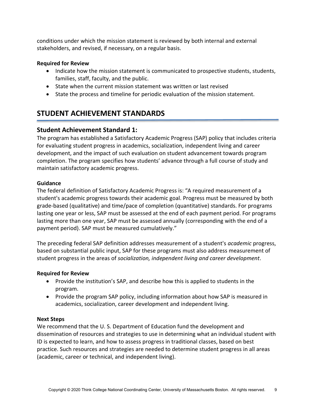conditions under which the mission statement is reviewed by both internal and external stakeholders, and revised, if necessary, on a regular basis.

### **Required for Review**

- Indicate how the mission statement is communicated to prospective students, students, families, staff, faculty, and the public.
- State when the current mission statement was written or last revised
- State the process and timeline for periodic evaluation of the mission statement.

# **STUDENT ACHIEVEMENT STANDARDS**

# **Student Achievement Standard 1:**

The program has established a Satisfactory Academic Progress (SAP) policy that includes criteria for evaluating student progress in academics, socialization, independent living and career development, and the impact of such evaluation on student advancement towards program completion. The program specifies how students' advance through a full course of study and maintain satisfactory academic progress.

### **Guidance**

The federal definition of Satisfactory Academic Progress is: "A required measurement of a student's academic progress towards their academic goal. Progress must be measured by both grade-based (qualitative) and time/pace of completion (quantitative) standards. For programs lasting one year or less, SAP must be assessed at the end of each payment period. For programs lasting more than one year, SAP must be assessed annually (corresponding with the end of a payment period). SAP must be measured cumulatively."

The preceding federal SAP definition addresses measurement of a student's *academic* progress, based on substantial public input, SAP for these programs must also address measurement of student progress in the areas of *socialization, independent living and career development*.

### **Required for Review**

- Provide the institution's SAP, and describe how this is applied to students in the program.
- Provide the program SAP policy, including information about how SAP is measured in academics, socialization, career development and independent living.

### **Next Steps**

We recommend that the U. S. Department of Education fund the development and dissemination of resources and strategies to use in determining what an individual student with ID is expected to learn, and how to assess progress in traditional classes, based on best practice. Such resources and strategies are needed to determine student progress in all areas (academic, career or technical, and independent living).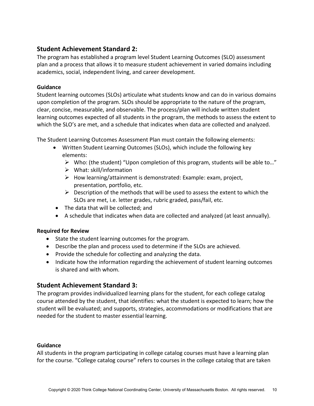# **Student Achievement Standard 2:**

The program has established a program level Student Learning Outcomes (SLO) assessment plan and a process that allows it to measure student achievement in varied domains including academics, social, independent living, and career development.

### **Guidance**

Student learning outcomes (SLOs) articulate what students know and can do in various domains upon completion of the program. SLOs should be appropriate to the nature of the program, clear, concise, measurable, and observable. The process/plan will include written student learning outcomes expected of all students in the program, the methods to assess the extent to which the SLO's are met, and a schedule that indicates when data are collected and analyzed.

The Student Learning Outcomes Assessment Plan must contain the following elements:

- Written Student Learning Outcomes (SLOs), which include the following key elements:
	- $\triangleright$  Who: (the student) "Upon completion of this program, students will be able to..."
	- $\triangleright$  What: skill/information
	- $\triangleright$  How learning/attainment is demonstrated: Example: exam, project, presentation, portfolio, etc.
	- $\triangleright$  Description of the methods that will be used to assess the extent to which the SLOs are met, i.e. letter grades, rubric graded, pass/fail, etc.
- The data that will be collected; and
- A schedule that indicates when data are collected and analyzed (at least annually).

### **Required for Review**

- State the student learning outcomes for the program.
- Describe the plan and process used to determine if the SLOs are achieved.
- Provide the schedule for collecting and analyzing the data.
- Indicate how the information regarding the achievement of student learning outcomes is shared and with whom.

# **Student Achievement Standard 3:**

The program provides individualized learning plans for the student, for each college catalog course attended by the student, that identifies: what the student is expected to learn; how the student will be evaluated; and supports, strategies, accommodations or modifications that are needed for the student to master essential learning.

### **Guidance**

All students in the program participating in college catalog courses must have a learning plan for the course. "College catalog course" refers to courses in the college catalog that are taken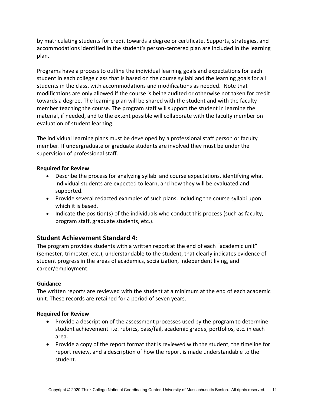by matriculating students for credit towards a degree or certificate. Supports, strategies, and accommodations identified in the student's person-centered plan are included in the learning plan.

Programs have a process to outline the individual learning goals and expectations for each student in each college class that is based on the course syllabi and the learning goals for all students in the class, with accommodations and modifications as needed. Note that modifications are only allowed if the course is being audited or otherwise not taken for credit towards a degree. The learning plan will be shared with the student and with the faculty member teaching the course. The program staff will support the student in learning the material, if needed, and to the extent possible will collaborate with the faculty member on evaluation of student learning.

The individual learning plans must be developed by a professional staff person or faculty member. If undergraduate or graduate students are involved they must be under the supervision of professional staff.

### **Required for Review**

- Describe the process for analyzing syllabi and course expectations, identifying what individual students are expected to learn, and how they will be evaluated and supported.
- Provide several redacted examples of such plans, including the course syllabi upon which it is based.
- Indicate the position(s) of the individuals who conduct this process (such as faculty, program staff, graduate students, etc.).

# **Student Achievement Standard 4:**

The program provides students with a written report at the end of each "academic unit" (semester, trimester, etc.), understandable to the student, that clearly indicates evidence of student progress in the areas of academics, socialization, independent living, and career/employment.

### **Guidance**

The written reports are reviewed with the student at a minimum at the end of each academic unit. These records are retained for a period of seven years.

### **Required for Review**

- Provide a description of the assessment processes used by the program to determine student achievement. i.e. rubrics, pass/fail, academic grades, portfolios, etc. in each area.
- Provide a copy of the report format that is reviewed with the student, the timeline for report review, and a description of how the report is made understandable to the student.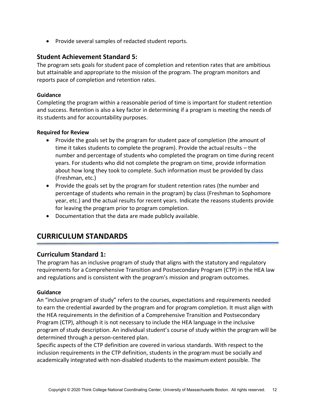• Provide several samples of redacted student reports.

### **Student Achievement Standard 5:**

The program sets goals for student pace of completion and retention rates that are ambitious but attainable and appropriate to the mission of the program. The program monitors and reports pace of completion and retention rates.

### **Guidance**

Completing the program within a reasonable period of time is important for student retention and success. Retention is also a key factor in determining if a program is meeting the needs of its students and for accountability purposes.

### **Required for Review**

- Provide the goals set by the program for student pace of completion (the amount of time it takes students to complete the program). Provide the actual results – the number and percentage of students who completed the program on time during recent years. For students who did not complete the program on time, provide information about how long they took to complete. Such information must be provided by class (Freshman, etc.)
- Provide the goals set by the program for student retention rates (the number and percentage of students who remain in the program) by class (Freshman to Sophomore year, etc.) and the actual results for recent years. Indicate the reasons students provide for leaving the program prior to program completion.
- Documentation that the data are made publicly available.

# **CURRICULUM STANDARDS**

### **Curriculum Standard 1:**

The program has an inclusive program of study that aligns with the statutory and regulatory requirements for a Comprehensive Transition and Postsecondary Program (CTP) in the HEA law and regulations and is consistent with the program's mission and program outcomes.

### **Guidance**

An "inclusive program of study" refers to the courses, expectations and requirements needed to earn the credential awarded by the program and for program completion. It must align with the HEA requirements in the definition of a Comprehensive Transition and Postsecondary Program (CTP), although it is not necessary to include the HEA language in the inclusive program of study description. An individual student's course of study within the program will be determined through a person-centered plan.

Specific aspects of the CTP definition are covered in various standards. With respect to the inclusion requirements in the CTP definition, students in the program must be socially and academically integrated with non-disabled students to the maximum extent possible. The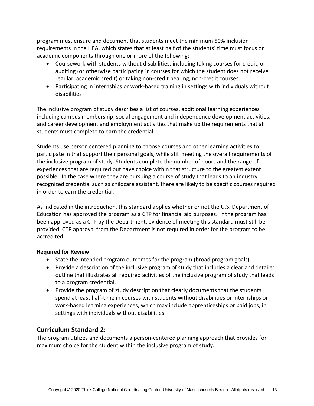program must ensure and document that students meet the minimum 50% inclusion requirements in the HEA, which states that at least half of the students' time must focus on academic components through one or more of the following:

- Coursework with students without disabilities, including taking courses for credit, or auditing (or otherwise participating in courses for which the student does not receive regular, academic credit) or taking non-credit bearing, non-credit courses.
- Participating in internships or work-based training in settings with individuals without disabilities

The inclusive program of study describes a list of courses, additional learning experiences including campus membership, social engagement and independence development activities, and career development and employment activities that make up the requirements that all students must complete to earn the credential.

Students use person centered planning to choose courses and other learning activities to participate in that support their personal goals, while still meeting the overall requirements of the inclusive program of study. Students complete the number of hours and the range of experiences that are required but have choice within that structure to the greatest extent possible. In the case where they are pursuing a course of study that leads to an industry recognized credential such as childcare assistant, there are likely to be specific courses required in order to earn the credential.

As indicated in the introduction, this standard applies whether or not the U.S. Department of Education has approved the program as a CTP for financial aid purposes. If the program has been approved as a CTP by the Department, evidence of meeting this standard must still be provided. CTP approval from the Department is not required in order for the program to be accredited.

### **Required for Review**

- State the intended program outcomes for the program (broad program goals).
- Provide a description of the inclusive program of study that includes a clear and detailed outline that illustrates all required activities of the inclusive program of study that leads to a program credential.
- Provide the program of study description that clearly documents that the students spend at least half-time in courses with students without disabilities or internships or work-based learning experiences, which may include apprenticeships or paid jobs, in settings with individuals without disabilities.

# **Curriculum Standard 2:**

The program utilizes and documents a person-centered planning approach that provides for maximum choice for the student within the inclusive program of study.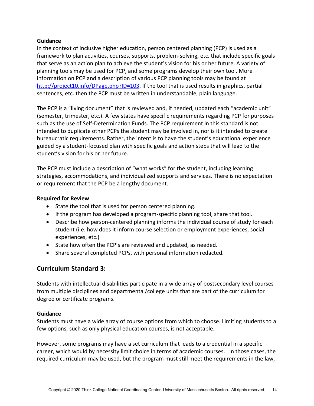#### **Guidance**

In the context of inclusive higher education, person centered planning (PCP) is used as a framework to plan activities, courses, supports, problem-solving, etc. that include specific goals that serve as an action plan to achieve the student's vision for his or her future. A variety of planning tools may be used for PCP, and some programs develop their own tool. More information on PCP and a description of various PCP planning tools may be found at [http://project10.info/DPage.php?ID=103.](http://project10.info/DPage.php?ID=103) If the tool that is used results in graphics, partial sentences, etc. then the PCP must be written in understandable, plain language.

The PCP is a "living document" that is reviewed and, if needed, updated each "academic unit" (semester, trimester, etc.). A few states have specific requirements regarding PCP for purposes such as the use of Self-Determination Funds. The PCP requirement in this standard is not intended to duplicate other PCPs the student may be involved in, nor is it intended to create bureaucratic requirements. Rather, the intent is to have the student's educational experience guided by a student-focused plan with specific goals and action steps that will lead to the student's vision for his or her future.

The PCP must include a description of "what works" for the student, including learning strategies, accommodations, and individualized supports and services. There is no expectation or requirement that the PCP be a lengthy document.

#### **Required for Review**

- State the tool that is used for person centered planning.
- If the program has developed a program-specific planning tool, share that tool.
- Describe how person-centered planning informs the individual course of study for each student (i.e. how does it inform course selection or employment experiences, social experiences, etc.)
- State how often the PCP's are reviewed and updated, as needed.
- Share several completed PCPs, with personal information redacted.

# **Curriculum Standard 3:**

Students with intellectual disabilities participate in a wide array of postsecondary level courses from multiple disciplines and departmental/college units that are part of the curriculum for degree or certificate programs.

### **Guidance**

Students must have a wide array of course options from which to choose. Limiting students to a few options, such as only physical education courses, is not acceptable.

However, some programs may have a set curriculum that leads to a credential in a specific career, which would by necessity limit choice in terms of academic courses. In those cases, the required curriculum may be used, but the program must still meet the requirements in the law,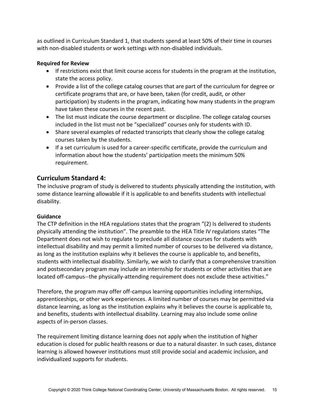as outlined in Curriculum Standard 1, that students spend at least 50% of their time in courses with non-disabled students or work settings with non-disabled individuals.

### **Required for Review**

- If restrictions exist that limit course access for students in the program at the institution, state the access policy.
- Provide a list of the college catalog courses that are part of the curriculum for degree or certificate programs that are, or have been, taken (for credit, audit, or other participation) by students in the program, indicating how many students in the program have taken these courses in the recent past.
- The list must indicate the course department or discipline. The college catalog courses included in the list must not be "specialized" courses only for students with ID.
- Share several examples of redacted transcripts that clearly show the college catalog courses taken by the students.
- If a set curriculum is used for a career-specific certificate, provide the curriculum and information about how the students' participation meets the minimum 50% requirement.

# **Curriculum Standard 4:**

The inclusive program of study is delivered to students physically attending the institution, with some distance learning allowable if it is applicable to and benefits students with intellectual disability.

### **Guidance**

The CTP definition in the HEA regulations states that the program "(2) Is delivered to students physically attending the institution". The preamble to the HEA Title IV regulations states "The Department does not wish to regulate to preclude all distance courses for students with intellectual disability and may permit a limited number of courses to be delivered via distance, as long as the institution explains why it believes the course is applicable to, and benefits, students with intellectual disability. Similarly, we wish to clarify that a comprehensive transition and postsecondary program may include an internship for students or other activities that are located off-campus--the physically-attending requirement does not exclude these activities."

Therefore, the program may offer off-campus learning opportunities including internships, apprenticeships, or other work experiences. A limited number of courses may be permitted via distance learning, as long as the institution explains why it believes the course is applicable to, and benefits, students with intellectual disability. Learning may also include some online aspects of in-person classes.

The requirement limiting distance learning does not apply when the institution of higher education is closed for public health reasons or due to a natural disaster. In such cases, distance learning is allowed however institutions must still provide social and academic inclusion, and individualized supports for students.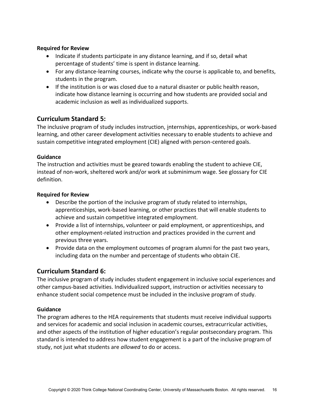### **Required for Review**

- Indicate if students participate in any distance learning, and if so, detail what percentage of students' time is spent in distance learning.
- For any distance-learning courses, indicate why the course is applicable to, and benefits, students in the program.
- If the institution is or was closed due to a natural disaster or public health reason, indicate how distance learning is occurring and how students are provided social and academic inclusion as well as individualized supports.

### **Curriculum Standard 5:**

The inclusive program of study includes instruction, internships, apprenticeships, or work-based learning, and other career development activities necessary to enable students to achieve and sustain competitive integrated employment (CIE) aligned with person-centered goals.

### **Guidance**

The instruction and activities must be geared towards enabling the student to achieve CIE, instead of non-work, sheltered work and/or work at subminimum wage. See glossary for CIE definition.

### **Required for Review**

- Describe the portion of the inclusive program of study related to internships, apprenticeships, work-based learning, or other practices that will enable students to achieve and sustain competitive integrated employment.
- Provide a list of internships, volunteer or paid employment, or apprenticeships, and other employment-related instruction and practices provided in the current and previous three years.
- Provide data on the employment outcomes of program alumni for the past two years, including data on the number and percentage of students who obtain CIE.

### **Curriculum Standard 6:**

The inclusive program of study includes student engagement in inclusive social experiences and other campus-based activities. Individualized support, instruction or activities necessary to enhance student social competence must be included in the inclusive program of study.

### **Guidance**

The program adheres to the HEA requirements that students must receive individual supports and services for academic and social inclusion in academic courses, extracurricular activities, and other aspects of the institution of higher education's regular postsecondary program*.* This standard is intended to address how student engagement is a part of the inclusive program of study, not just what students are *allowed* to do or access.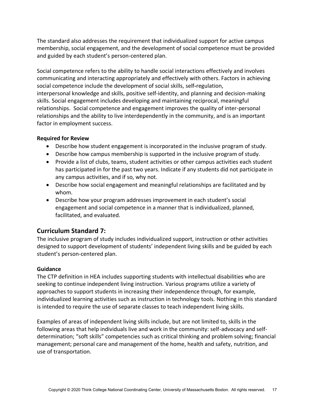The standard also addresses the requirement that individualized support for active campus membership, social engagement, and the development of social competence must be provided and guided by each student's person-centered plan.

Social competence refers to the ability to handle social interactions effectively and involves communicating and interacting appropriately and effectively with others. Factors in achieving social competence include the development of social skills, self**-**regulation, interpersonal knowledge and skills, positive self-identity, and planning and decision-making skills. Social engagement includes developing and maintaining reciprocal, meaningful relationships. Social competence and engagement improves the quality of inter-personal relationships and the ability to live interdependently in the community, and is an important factor in employment success.

### **Required for Review**

- Describe how student engagement is incorporated in the inclusive program of study.
- Describe how campus membership is supported in the inclusive program of study.
- Provide a list of clubs, teams, student activities or other campus activities each student has participated in for the past two years. Indicate if any students did not participate in any campus activities, and if so, why not.
- Describe how social engagement and meaningful relationships are facilitated and by whom.
- Describe how your program addresses improvement in each student's social engagement and social competence in a manner that is individualized, planned, facilitated, and evaluated.

# **Curriculum Standard 7:**

The inclusive program of study includes individualized support, instruction or other activities designed to support development of students' independent living skills and be guided by each student's person-centered plan.

### **Guidance**

The CTP definition in HEA includes supporting students with intellectual disabilities who are seeking to continue independent living instruction. Various programs utilize a variety of approaches to support students in increasing their independence through, for example, individualized learning activities such as instruction in technology tools. Nothing in this standard is intended to require the use of separate classes to teach independent living skills.

Examples of areas of independent living skills include, but are not limited to, skills in the following areas that help individuals live and work in the community: self-advocacy and selfdetermination; "soft skills" competencies such as critical thinking and problem solving; financial management; personal care and management of the home, health and safety, nutrition, and use of transportation.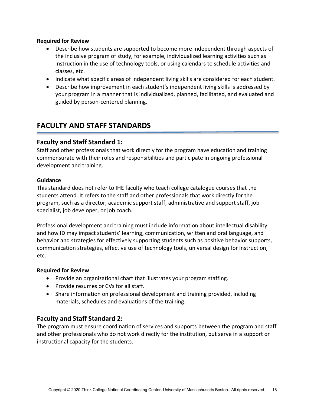#### **Required for Review**

- Describe how students are supported to become more independent through aspects of the inclusive program of study, for example, individualized learning activities such as instruction in the use of technology tools, or using calendars to schedule activities and classes, etc.
- Indicate what specific areas of independent living skills are considered for each student.
- Describe how improvement in each student's independent living skills is addressed by your program in a manner that is individualized, planned, facilitated, and evaluated and guided by person-centered planning.

# **FACULTY AND STAFF STANDARDS**

### **Faculty and Staff Standard 1:**

Staff and other professionals that work directly for the program have education and training commensurate with their roles and responsibilities and participate in ongoing professional development and training.

#### **Guidance**

This standard does not refer to IHE faculty who teach college catalogue courses that the students attend. It refers to the staff and other professionals that work directly for the program, such as a director, academic support staff, administrative and support staff, job specialist, job developer, or job coach.

Professional development and training must include information about intellectual disability and how ID may impact students' learning, communication, written and oral language, and behavior and strategies for effectively supporting students such as positive behavior supports, communication strategies, effective use of technology tools, universal design for instruction, etc.

### **Required for Review**

- Provide an organizational chart that illustrates your program staffing.
- Provide resumes or CVs for all staff.
- Share information on professional development and training provided, including materials, schedules and evaluations of the training.

# **Faculty and Staff Standard 2:**

The program must ensure coordination of services and supports between the program and staff and other professionals who do not work directly for the institution, but serve in a support or instructional capacity for the students.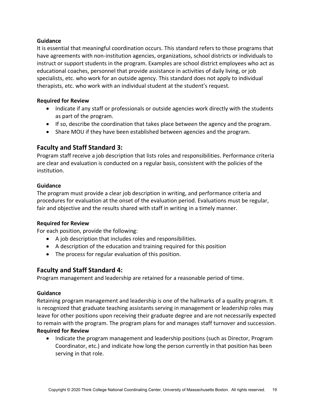### **Guidance**

It is essential that meaningful coordination occurs. This standard refers to those programs that have agreements with non-institution agencies, organizations, school districts or individuals to instruct or support students in the program. Examples are school district employees who act as educational coaches, personnel that provide assistance in activities of daily living, or job specialists, etc. who work for an outside agency. This standard does not apply to individual therapists, etc. who work with an individual student at the student's request.

### **Required for Review**

- Indicate if any staff or professionals or outside agencies work directly with the students as part of the program.
- If so, describe the coordination that takes place between the agency and the program.
- Share MOU if they have been established between agencies and the program.

### **Faculty and Staff Standard 3:**

Program staff receive a job description that lists roles and responsibilities. Performance criteria are clear and evaluation is conducted on a regular basis, consistent with the policies of the institution.

### **Guidance**

The program must provide a clear job description in writing, and performance criteria and procedures for evaluation at the onset of the evaluation period. Evaluations must be regular, fair and objective and the results shared with staff in writing in a timely manner.

### **Required for Review**

For each position, provide the following:

- A job description that includes roles and responsibilities.
- A description of the education and training required for this position
- The process for regular evaluation of this position.

### **Faculty and Staff Standard 4:**

Program management and leadership are retained for a reasonable period of time.

### **Guidance**

Retaining program management and leadership is one of the hallmarks of a quality program. It is recognized that graduate teaching assistants serving in management or leadership roles may leave for other positions upon receiving their graduate degree and are not necessarily expected to remain with the program. The program plans for and manages staff turnover and succession. **Required for Review**

• Indicate the program management and leadership positions (such as Director, Program Coordinator, etc.) and indicate how long the person currently in that position has been serving in that role.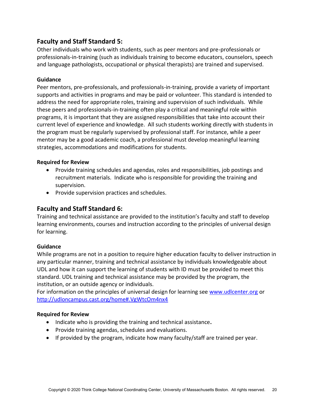# **Faculty and Staff Standard 5:**

Other individuals who work with students, such as peer mentors and pre-professionals or professionals-in-training (such as individuals training to become educators, counselors, speech and language pathologists, occupational or physical therapists) are trained and supervised.

### **Guidance**

Peer mentors, pre-professionals, and professionals-in-training, provide a variety of important supports and activities in programs and may be paid or volunteer. This standard is intended to address the need for appropriate roles, training and supervision of such individuals. While these peers and professionals-in-training often play a critical and meaningful role within programs, it is important that they are assigned responsibilities that take into account their current level of experience and knowledge. All such students working directly with students in the program must be regularly supervised by professional staff. For instance, while a peer mentor may be a good academic coach, a professional must develop meaningful learning strategies, accommodations and modifications for students.

### **Required for Review**

- Provide training schedules and agendas, roles and responsibilities, job postings and recruitment materials. Indicate who is responsible for providing the training and supervision.
- Provide supervision practices and schedules.

# **Faculty and Staff Standard 6:**

Training and technical assistance are provided to the institution's faculty and staff to develop learning environments, courses and instruction according to the principles of universal design for learning.

### **Guidance**

While programs are not in a position to require higher education faculty to deliver instruction in any particular manner, training and technical assistance by individuals knowledgeable about UDL and how it can support the learning of students with ID must be provided to meet this standard. UDL training and technical assistance may be provided by the program, the institution, or an outside agency or individuals.

For information on the principles of universal design for learning see [www.udlcenter.org](http://www.udlcenter.org/) or <http://udloncampus.cast.org/home#.VgWtcOm4nx4>

### **Required for Review**

- Indicate who is providing the training and technical assistance**.**
- Provide training agendas, schedules and evaluations.
- If provided by the program, indicate how many faculty/staff are trained per year.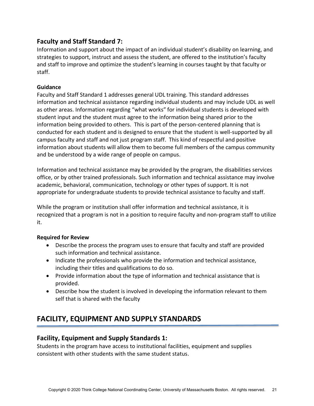# **Faculty and Staff Standard 7:**

Information and support about the impact of an individual student's disability on learning, and strategies to support, instruct and assess the student, are offered to the institution's faculty and staff to improve and optimize the student's learning in courses taught by that faculty or staff.

### **Guidance**

Faculty and Staff Standard 1 addresses general UDL training. This standard addresses information and technical assistance regarding individual students and may include UDL as well as other areas. Information regarding "what works" for individual students is developed with student input and the student must agree to the information being shared prior to the information being provided to others. This is part of the person-centered planning that is conducted for each student and is designed to ensure that the student is well-supported by all campus faculty and staff and not just program staff. This kind of respectful and positive information about students will allow them to become full members of the campus community and be understood by a wide range of people on campus.

Information and technical assistance may be provided by the program, the disabilities services office, or by other trained professionals. Such information and technical assistance may involve academic, behavioral, communication, technology or other types of support. It is not appropriate for undergraduate students to provide technical assistance to faculty and staff.

While the program or institution shall offer information and technical assistance, it is recognized that a program is not in a position to require faculty and non-program staff to utilize it.

### **Required for Review**

- Describe the process the program uses to ensure that faculty and staff are provided such information and technical assistance.
- Indicate the professionals who provide the information and technical assistance, including their titles and qualifications to do so.
- Provide information about the type of information and technical assistance that is provided.
- Describe how the student is involved in developing the information relevant to them self that is shared with the faculty

# **FACILITY, EQUIPMENT AND SUPPLY STANDARDS**

### **Facility, Equipment and Supply Standards 1:**

Students in the program have access to institutional facilities, equipment and supplies consistent with other students with the same student status.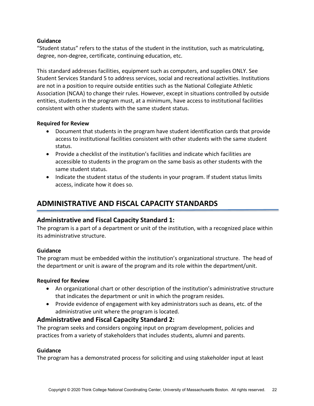### **Guidance**

"Student status" refers to the status of the student in the institution, such as matriculating, degree, non-degree, certificate, continuing education, etc.

This standard addresses facilities, equipment such as computers, and supplies ONLY. See Student Services Standard 5 to address services, social and recreational activities. Institutions are not in a position to require outside entities such as the National Collegiate Athletic Association (NCAA) to change their rules. However, except in situations controlled by outside entities, students in the program must, at a minimum, have access to institutional facilities consistent with other students with the same student status.

### **Required for Review**

- Document that students in the program have student identification cards that provide access to institutional facilities consistent with other students with the same student status.
- Provide a checklist of the institution's facilities and indicate which facilities are accessible to students in the program on the same basis as other students with the same student status.
- Indicate the student status of the students in your program. If student status limits access, indicate how it does so.

# **ADMINISTRATIVE AND FISCAL CAPACITY STANDARDS**

# **Administrative and Fiscal Capacity Standard 1:**

The program is a part of a department or unit of the institution, with a recognized place within its administrative structure.

### **Guidance**

The program must be embedded within the institution's organizational structure. The head of the department or unit is aware of the program and its role within the department/unit.

### **Required for Review**

- An organizational chart or other description of the institution's administrative structure that indicates the department or unit in which the program resides.
- Provide evidence of engagement with key administrators such as deans, etc. of the administrative unit where the program is located.

# **Administrative and Fiscal Capacity Standard 2:**

The program seeks and considers ongoing input on program development, policies and practices from a variety of stakeholders that includes students, alumni and parents.

### **Guidance**

The program has a demonstrated process for soliciting and using stakeholder input at least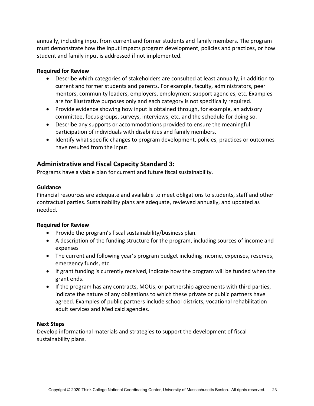annually, including input from current and former students and family members. The program must demonstrate how the input impacts program development, policies and practices, or how student and family input is addressed if not implemented.

### **Required for Review**

- Describe which categories of stakeholders are consulted at least annually, in addition to current and former students and parents. For example, faculty, administrators, peer mentors, community leaders, employers, employment support agencies, etc. Examples are for illustrative purposes only and each category is not specifically required.
- Provide evidence showing how input is obtained through, for example, an advisory committee, focus groups, surveys, interviews, etc. and the schedule for doing so.
- Describe any supports or accommodations provided to ensure the meaningful participation of individuals with disabilities and family members.
- Identify what specific changes to program development, policies, practices or outcomes have resulted from the input.

# **Administrative and Fiscal Capacity Standard 3:**

Programs have a viable plan for current and future fiscal sustainability.

### **Guidance**

Financial resources are adequate and available to meet obligations to students, staff and other contractual parties*.* Sustainability plans are adequate, reviewed annually, and updated as needed.

### **Required for Review**

- Provide the program's fiscal sustainability/business plan.
- A description of the funding structure for the program, including sources of income and expenses
- The current and following year's program budget including income, expenses, reserves, emergency funds, etc.
- If grant funding is currently received, indicate how the program will be funded when the grant ends.
- If the program has any contracts, MOUs, or partnership agreements with third parties, indicate the nature of any obligations to which these private or public partners have agreed. Examples of public partners include school districts, vocational rehabilitation adult services and Medicaid agencies.

### **Next Steps**

Develop informational materials and strategies to support the development of fiscal sustainability plans.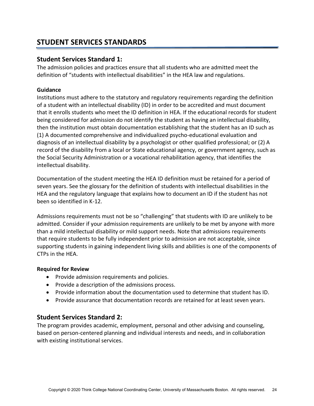# **STUDENT SERVICES STANDARDS**

### **Student Services Standard 1:**

The admission policies and practices ensure that all students who are admitted meet the definition of "students with intellectual disabilities" in the HEA law and regulations.

### **Guidance**

Institutions must adhere to the statutory and regulatory requirements regarding the definition of a student with an intellectual disability (ID) in order to be accredited and must document that it enrolls students who meet the ID definition in HEA. If the educational records for student being considered for admission do not identify the student as having an intellectual disability, then the institution must obtain documentation establishing that the student has an ID such as (1) A documented comprehensive and individualized psycho-educational evaluation and diagnosis of an intellectual disability by a psychologist or other qualified professional; or (2) A record of the disability from a local or State educational agency, or government agency, such as the Social Security Administration or a vocational rehabilitation agency, that identifies the intellectual disability.

Documentation of the student meeting the HEA ID definition must be retained for a period of seven years. See the glossary for the definition of students with intellectual disabilities in the HEA and the regulatory language that explains how to document an ID if the student has not been so identified in K-12.

Admissions requirements must not be so "challenging" that students with ID are unlikely to be admitted. Consider if your admission requirements are unlikely to be met by anyone with more than a mild intellectual disability or mild support needs. Note that admissions requirements that require students to be fully independent prior to admission are not acceptable, since supporting students in gaining independent living skills and abilities is one of the components of CTPs in the HEA.

### **Required for Review**

- Provide admission requirements and policies.
- Provide a description of the admissions process.
- Provide information about the documentation used to determine that student has ID.
- Provide assurance that documentation records are retained for at least seven years.

### **Student Services Standard 2:**

The program provides academic, employment, personal and other advising and counseling, based on person-centered planning and individual interests and needs, and in collaboration with existing institutional services.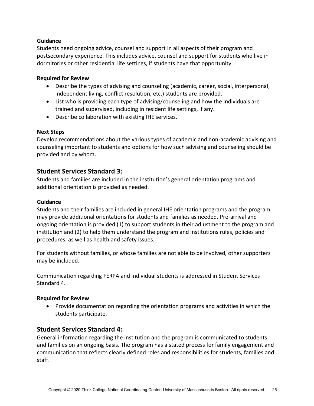### **Guidance**

Students need ongoing advice, counsel and support in all aspects of their program and postsecondary experience. This includes advice, counsel and support for students who live in dormitories or other residential life settings, if students have that opportunity.

#### **Required for Review**

- Describe the types of advising and counseling (academic, career, social, interpersonal, independent living, conflict resolution, etc.) students are provided.
- List who is providing each type of advising/counseling and how the individuals are trained and supervised, including in resident life settings, if any.
- Describe collaboration with existing IHE services.

#### **Next Steps**

Develop recommendations about the various types of academic and non-academic advising and counseling important to students and options for how such advising and counseling should be provided and by whom.

### **Student Services Standard 3:**

Students and families are included in the institution's general orientation programs and additional orientation is provided as needed.

#### **Guidance**

Students and their families are included in general IHE orientation programs and the program may provide additional orientations for students and families as needed. Pre-arrival and ongoing orientation is provided (1) to support students in their adjustment to the program and institution and (2) to help them understand the program and institutions rules, policies and procedures, as well as health and safety issues.

For students without families, or whose families are not able to be involved, other supporters may be included.

Communication regarding FERPA and individual students is addressed in Student Services Standard 4.

#### **Required for Review**

• Provide documentation regarding the orientation programs and activities in which the students participate.

### **Student Services Standard 4:**

General information regarding the institution and the program is communicated to students and families on an ongoing basis. The program has a stated process for family engagement and communication that reflects clearly defined roles and responsibilities for students, families and staff.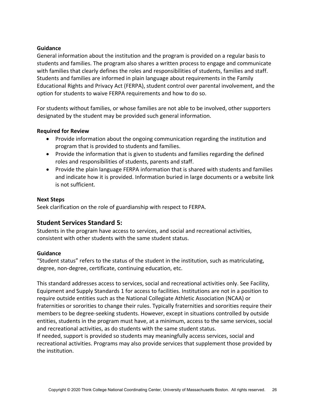#### **Guidance**

General information about the institution and the program is provided on a regular basis to students and families. The program also shares a written process to engage and communicate with families that clearly defines the roles and responsibilities of students, families and staff. Students and families are informed in plain language about requirements in the Family Educational Rights and Privacy Act (FERPA), student control over parental involvement, and the option for students to waive FERPA requirements and how to do so.

For students without families, or whose families are not able to be involved, other supporters designated by the student may be provided such general information.

### **Required for Review**

- Provide information about the ongoing communication regarding the institution and program that is provided to students and families.
- Provide the information that is given to students and families regarding the defined roles and responsibilities of students, parents and staff.
- Provide the plain language FERPA information that is shared with students and families and indicate how it is provided. Information buried in large documents or a website link is not sufficient.

#### **Next Steps**

Seek clarification on the role of guardianship with respect to FERPA.

### **Student Services Standard 5:**

Students in the program have access to services, and social and recreational activities, consistent with other students with the same student status.

### **Guidance**

"Student status" refers to the status of the student in the institution, such as matriculating, degree, non-degree, certificate, continuing education, etc.

This standard addresses access to services, social and recreational activities only. See Facility, Equipment and Supply Standards 1 for access to facilities. Institutions are not in a position to require outside entities such as the National Collegiate Athletic Association (NCAA) or fraternities or sororities to change their rules. Typically fraternities and sororities require their members to be degree-seeking students. However, except in situations controlled by outside entities, students in the program must have, at a minimum, access to the same services, social and recreational activities, as do students with the same student status.

If needed, support is provided so students may meaningfully access services, social and recreational activities. Programs may also provide services that supplement those provided by the institution.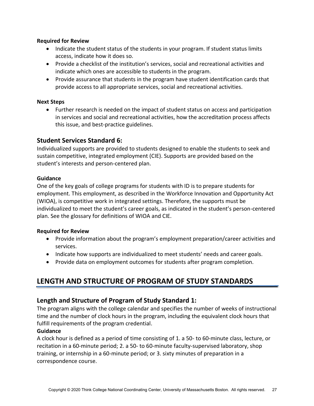### **Required for Review**

- Indicate the student status of the students in your program. If student status limits access, indicate how it does so.
- Provide a checklist of the institution's services, social and recreational activities and indicate which ones are accessible to students in the program.
- Provide assurance that students in the program have student identification cards that provide access to all appropriate services, social and recreational activities.

#### **Next Steps**

• Further research is needed on the impact of student status on access and participation in services and social and recreational activities, how the accreditation process affects this issue, and best-practice guidelines.

### **Student Services Standard 6:**

Individualized supports are provided to students designed to enable the students to seek and sustain competitive, integrated employment (CIE). Supports are provided based on the student's interests and person-centered plan.

### **Guidance**

One of the key goals of college programs for students with ID is to prepare students for employment. This employment, as described in the Workforce Innovation and Opportunity Act (WIOA), is competitive work in integrated settings. Therefore, the supports must be individualized to meet the student's career goals, as indicated in the student's person-centered plan. See the glossary for definitions of WIOA and CIE.

### **Required for Review**

- Provide information about the program's employment preparation/career activities and services.
- Indicate how supports are individualized to meet students' needs and career goals.
- Provide data on employment outcomes for students after program completion.

# **LENGTH AND STRUCTURE OF PROGRAM OF STUDY STANDARDS**

### **Length and Structure of Program of Study Standard 1:**

The program aligns with the college calendar and specifies the number of weeks of instructional time and the number of clock hours in the program, including the equivalent clock hours that fulfill requirements of the program credential.

### **Guidance**

A clock hour is defined as a period of time consisting of 1. a 50- to 60-minute class, lecture, or recitation in a 60-minute period; 2. a 50- to 60-minute faculty-supervised laboratory, shop training, or internship in a 60-minute period; or 3. sixty minutes of preparation in a correspondence course.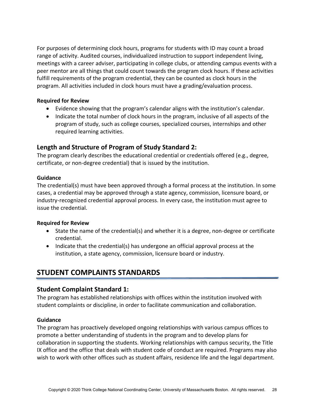For purposes of determining clock hours, programs for students with ID may count a broad range of activity. Audited courses, individualized instruction to support independent living, meetings with a career adviser, participating in college clubs, or attending campus events with a peer mentor are all things that could count towards the program clock hours. If these activities fulfill requirements of the program credential, they can be counted as clock hours in the program. All activities included in clock hours must have a grading/evaluation process.

### **Required for Review**

- Evidence showing that the program's calendar aligns with the institution's calendar.
- Indicate the total number of clock hours in the program, inclusive of all aspects of the program of study, such as college courses, specialized courses, internships and other required learning activities.

# **Length and Structure of Program of Study Standard 2:**

The program clearly describes the educational credential or credentials offered (e.g., degree, certificate, or non-degree credential) that is issued by the institution.

### **Guidance**

The credential(s) must have been approved through a formal process at the institution. In some cases, a credential may be approved through a state agency, commission, licensure board, or industry-recognized credential approval process. In every case, the institution must agree to issue the credential.

### **Required for Review**

- State the name of the credential(s) and whether it is a degree, non-degree or certificate credential.
- Indicate that the credential(s) has undergone an official approval process at the institution, a state agency, commission, licensure board or industry.

# **STUDENT COMPLAINTS STANDARDS**

# **Student Complaint Standard 1:**

The program has established relationships with offices within the institution involved with student complaints or discipline, in order to facilitate communication and collaboration.

### **Guidance**

The program has proactively developed ongoing relationships with various campus offices to promote a better understanding of students in the program and to develop plans for collaboration in supporting the students. Working relationships with campus security, the Title IX office and the office that deals with student code of conduct are required. Programs may also wish to work with other offices such as student affairs, residence life and the legal department.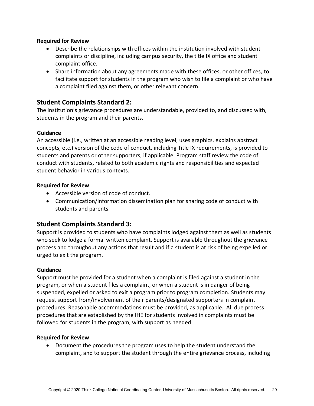### **Required for Review**

- Describe the relationships with offices within the institution involved with student complaints or discipline, including campus security, the title IX office and student complaint office.
- Share information about any agreements made with these offices, or other offices, to facilitate support for students in the program who wish to file a complaint or who have a complaint filed against them, or other relevant concern.

### **Student Complaints Standard 2:**

The institution's grievance procedures are understandable, provided to, and discussed with, students in the program and their parents.

### **Guidance**

An accessible (i.e., written at an accessible reading level, uses graphics, explains abstract concepts, etc.) version of the code of conduct, including Title IX requirements, is provided to students and parents or other supporters, if applicable. Program staff review the code of conduct with students, related to both academic rights and responsibilities and expected student behavior in various contexts.

#### **Required for Review**

- Accessible version of code of conduct.
- Communication/information dissemination plan for sharing code of conduct with students and parents.

# **Student Complaints Standard 3:**

Support is provided to students who have complaints lodged against them as well as students who seek to lodge a formal written complaint. Support is available throughout the grievance process and throughout any actions that result and if a student is at risk of being expelled or urged to exit the program.

### **Guidance**

Support must be provided for a student when a complaint is filed against a student in the program, or when a student files a complaint, or when a student is in danger of being suspended, expelled or asked to exit a program prior to program completion. Students may request support from/involvement of their parents/designated supporters in complaint procedures. Reasonable accommodations must be provided, as applicable. All due process procedures that are established by the IHE for students involved in complaints must be followed for students in the program, with support as needed.

#### **Required for Review**

• Document the procedures the program uses to help the student understand the complaint, and to support the student through the entire grievance process, including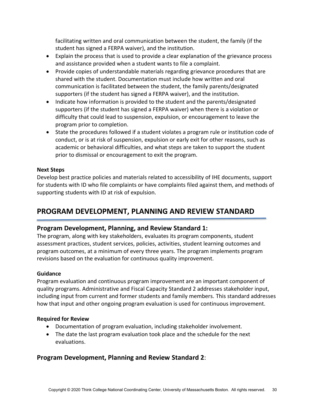facilitating written and oral communication between the student, the family (if the student has signed a FERPA waiver), and the institution.

- Explain the process that is used to provide a clear explanation of the grievance process and assistance provided when a student wants to file a complaint.
- Provide copies of understandable materials regarding grievance procedures that are shared with the student. Documentation must include how written and oral communication is facilitated between the student, the family parents/designated supporters (if the student has signed a FERPA waiver), and the institution.
- Indicate how information is provided to the student and the parents/designated supporters (if the student has signed a FERPA waiver) when there is a violation or difficulty that could lead to suspension, expulsion, or encouragement to leave the program prior to completion.
- State the procedures followed if a student violates a program rule or institution code of conduct, or is at risk of suspension, expulsion or early exit for other reasons, such as academic or behavioral difficulties, and what steps are taken to support the student prior to dismissal or encouragement to exit the program.

### **Next Steps**

Develop best practice policies and materials related to accessibility of IHE documents, support for students with ID who file complaints or have complaints filed against them, and methods of supporting students with ID at risk of expulsion.

# **PROGRAM DEVELOPMENT, PLANNING AND REVIEW STANDARD**

# **Program Development, Planning, and Review Standard 1:**

The program, along with key stakeholders, evaluates its program components, student assessment practices, student services, policies, activities, student learning outcomes and program outcomes, at a minimum of every three years. The program implements program revisions based on the evaluation for continuous quality improvement.

### **Guidance**

Program evaluation and continuous program improvement are an important component of quality programs. Administrative and Fiscal Capacity Standard 2 addresses stakeholder input, including input from current and former students and family members. This standard addresses how that input and other ongoing program evaluation is used for continuous improvement.

### **Required for Review**

- Documentation of program evaluation, including stakeholder involvement.
- The date the last program evaluation took place and the schedule for the next evaluations.

# **Program Development, Planning and Review Standard 2**: